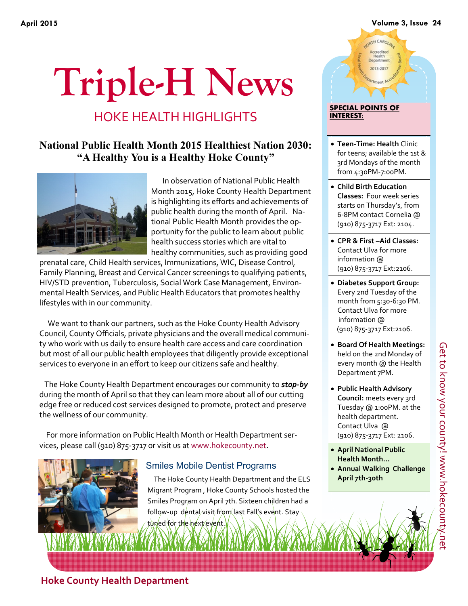### **April 2015 Volume 3, Issue 24**

# **Triple-H News**

## HOKE HEALTH HIGHLIGHTS

## **National Public Health Month 2015 Healthiest Nation 2030: "A Healthy You is a Healthy Hoke County"**



 In observation of National Public Health Month 2015, Hoke County Health Department is highlighting its efforts and achievements of public health during the month of April. National Public Health Month provides the opportunity for the public to learn about public health success stories which are vital to healthy communities, such as providing good

prenatal care, Child Health services, Immunizations, WIC, Disease Control, Family Planning, Breast and Cervical Cancer screenings to qualifying patients, HIV/STD prevention, Tuberculosis, Social Work Case Management, Environmental Health Services, and Public Health Educators that promotes healthy lifestyles with in our community.

 We want to thank our partners, such as the Hoke County Health Advisory Council, County Officials, private physicians and the overall medical community who work with us daily to ensure health care access and care coordination but most of all our public health employees that diligently provide exceptional services to everyone in an effort to keep our citizens safe and healthy.

 The Hoke County Health Department encourages our community to *stop-by* during the month of April so that they can learn more about all of our cutting edge free or reduced cost services designed to promote, protect and preserve the wellness of our community.

 For more information on Public Health Month or Health Department services, please call (910) 875-3717 or visit us at [www.hokecounty.net.](http://www.hokecounty.net)

## Smiles Mobile Dentist Programs

 The Hoke County Health Department and the ELS Migrant Program , Hoke County Schools hosted the Smiles Program on April 7th. Sixteen children had a follow-up dental visit from last Fall's event. Stay tuned for the next event.

## ORTH CAROLIN Accredited<br>Health<br>Department 2013-2017 **SPECIAL POINTS OF INTEREST:**

- **Teen-Time: Health** Clinic for teens; available the 1st & 3rd Mondays of the month from 4:30PM-7:00PM.
- **Child Birth Education Classes:** Four week series starts on Thursday's, from 6-8PM contact Cornelia @ (910) 875-3717 Ext: 2104.
- **CPR & First –Aid Classes:**  Contact Ulva for more information @ (910) 875-3717 Ext:2106.
- **Diabetes Support Group:**  Every 2nd Tuesday of the month from 5:30-6:30 PM. Contact Ulva for more information @ (910) 875-3717 Ext:2106.
- **Board Of Health Meetings:**  held on the 2nd Monday of every month @ the Health Department 7PM.
- **Public Health Advisory Council:** meets every 3rd Tuesday @ 1:00PM. at the health department. Contact Ulva @ (910) 875-3717 Ext: 2106.
- **April National Public Health Month…**
- **Annual Walking Challenge April 7th-30th**

**Hoke County Health Department**